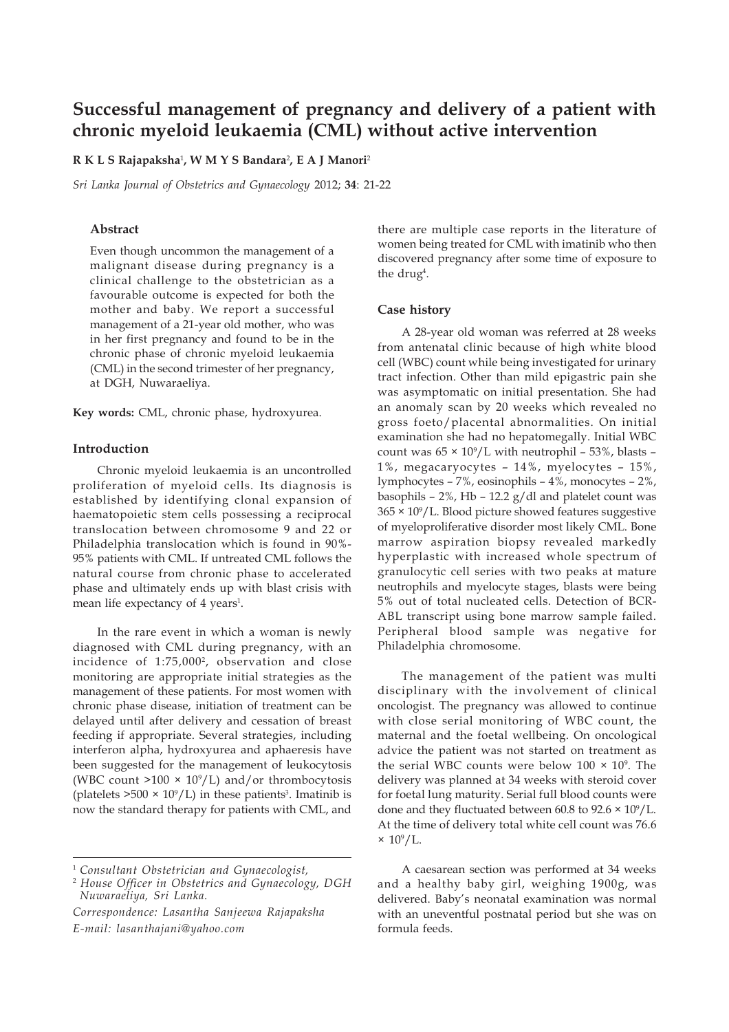# **Successful management of pregnancy and delivery of a patient with chronic myeloid leukaemia (CML) without active intervention**

**R K L S Rajapaksha**<sup>1</sup> **, W M Y S Bandara**<sup>2</sup> **, E A J Manori**<sup>2</sup>

*Sri Lanka Journal of Obstetrics and Gynaecology* 2012; **34**: 21-22

### **Abstract**

Even though uncommon the management of a malignant disease during pregnancy is a clinical challenge to the obstetrician as a favourable outcome is expected for both the mother and baby. We report a successful management of a 21-year old mother, who was in her first pregnancy and found to be in the chronic phase of chronic myeloid leukaemia (CML) in the second trimester of her pregnancy, at DGH, Nuwaraeliya.

**Key words:** CML, chronic phase, hydroxyurea.

## **Introduction**

Chronic myeloid leukaemia is an uncontrolled proliferation of myeloid cells. Its diagnosis is established by identifying clonal expansion of haematopoietic stem cells possessing a reciprocal translocation between chromosome 9 and 22 or Philadelphia translocation which is found in 90%- 95% patients with CML. If untreated CML follows the natural course from chronic phase to accelerated phase and ultimately ends up with blast crisis with mean life expectancy of 4 years<sup>1</sup>.

In the rare event in which a woman is newly diagnosed with CML during pregnancy, with an incidence of 1:75,0002, observation and close monitoring are appropriate initial strategies as the management of these patients. For most women with chronic phase disease, initiation of treatment can be delayed until after delivery and cessation of breast feeding if appropriate. Several strategies, including interferon alpha, hydroxyurea and aphaeresis have been suggested for the management of leukocytosis (WBC count  $>100 \times 10^9$ /L) and/or thrombocytosis (platelets  $>500 \times 10^9$ /L) in these patients<sup>3</sup>. Imatinib is now the standard therapy for patients with CML, and

<sup>1</sup> *Consultant Obstetrician and Gynaecologist,*

*Correspondence: Lasantha Sanjeewa Rajapaksha E-mail: lasanthajani@yahoo.com*

there are multiple case reports in the literature of women being treated for CML with imatinib who then discovered pregnancy after some time of exposure to the drug<sup>4</sup>.

#### **Case history**

A 28-year old woman was referred at 28 weeks from antenatal clinic because of high white blood cell (WBC) count while being investigated for urinary tract infection. Other than mild epigastric pain she was asymptomatic on initial presentation. She had an anomaly scan by 20 weeks which revealed no gross foeto/placental abnormalities. On initial examination she had no hepatomegally. Initial WBC count was 65 × 109 /L with neutrophil – 53%, blasts – 1%, megacaryocytes – 14%, myelocytes – 15%, lymphocytes – 7%, eosinophils – 4%, monocytes – 2%, basophils – 2%, Hb – 12.2 g/dl and platelet count was 365 × 109 /L. Blood picture showed features suggestive of myeloproliferative disorder most likely CML. Bone marrow aspiration biopsy revealed markedly hyperplastic with increased whole spectrum of granulocytic cell series with two peaks at mature neutrophils and myelocyte stages, blasts were being 5% out of total nucleated cells. Detection of BCR-ABL transcript using bone marrow sample failed. Peripheral blood sample was negative for Philadelphia chromosome.

The management of the patient was multi disciplinary with the involvement of clinical oncologist. The pregnancy was allowed to continue with close serial monitoring of WBC count, the maternal and the foetal wellbeing. On oncological advice the patient was not started on treatment as the serial WBC counts were below  $100 \times 10^9$ . The delivery was planned at 34 weeks with steroid cover for foetal lung maturity. Serial full blood counts were done and they fluctuated between  $60.8$  to  $92.6 \times 10^9$ /L. At the time of delivery total white cell count was 76.6  $\times 10^9/L$ .

A caesarean section was performed at 34 weeks and a healthy baby girl, weighing 1900g, was delivered. Baby's neonatal examination was normal with an uneventful postnatal period but she was on formula feeds.

<sup>2</sup>  *House Officer in Obstetrics and Gynaecology, DGH Nuwaraeliya, Sri Lanka.*